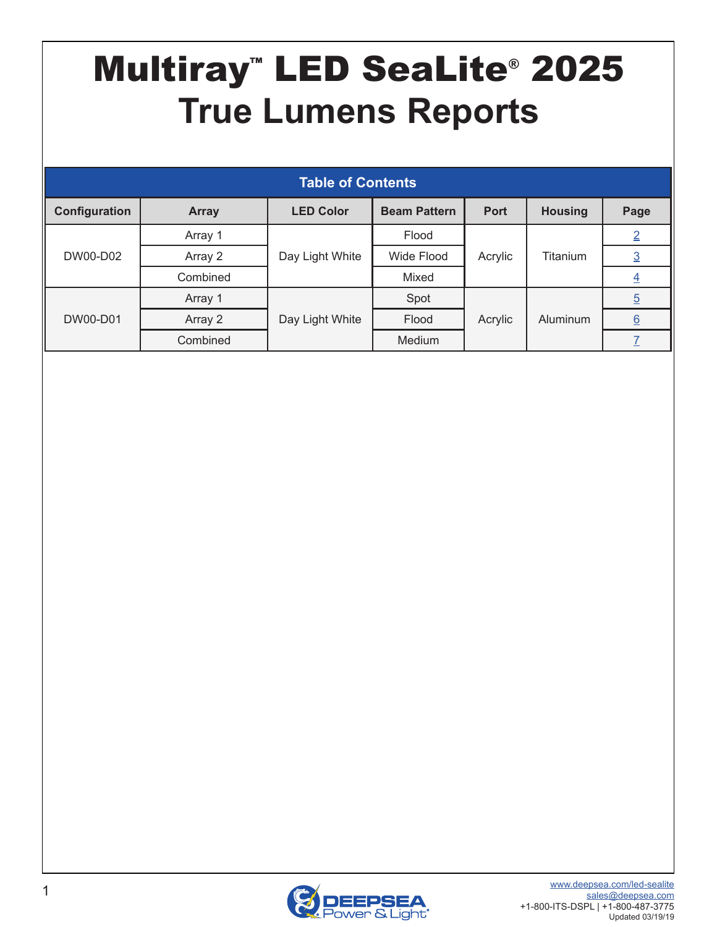# <span id="page-0-0"></span>Multiray™ LED SeaLite® 2025 **True Lumens Reports**

| <b>Table of Contents</b> |              |                  |                                    |         |                |                |  |  |  |  |
|--------------------------|--------------|------------------|------------------------------------|---------|----------------|----------------|--|--|--|--|
| Configuration            | <b>Array</b> | <b>LED Color</b> | <b>Beam Pattern</b><br><b>Port</b> |         | <b>Housing</b> | Page           |  |  |  |  |
| DW00-D02                 | Array 1      |                  | Flood                              |         |                | $\overline{2}$ |  |  |  |  |
|                          | Array 2      | Day Light White  | Wide Flood                         | Acrylic | Titanium       | $\overline{3}$ |  |  |  |  |
|                          | Combined     |                  | Mixed                              |         |                | <u>4</u>       |  |  |  |  |
| DW00-D01                 | Array 1      |                  | Spot                               |         |                | $\overline{5}$ |  |  |  |  |
|                          | Array 2      | Day Light White  | Flood                              | Acrylic | Aluminum       | 6              |  |  |  |  |
|                          | Combined     |                  | Medium                             |         |                |                |  |  |  |  |

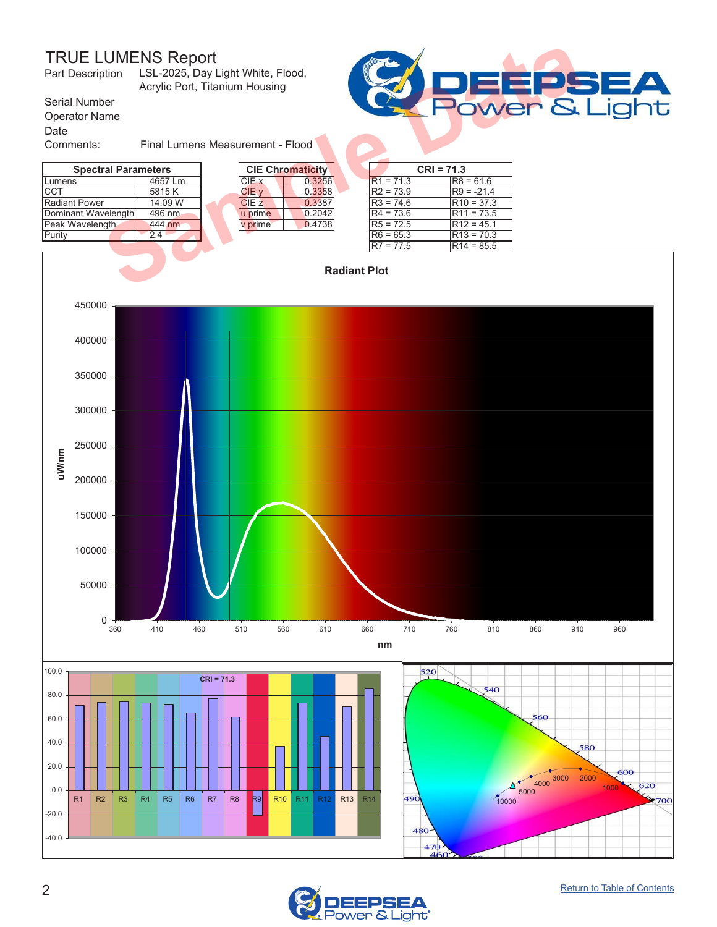#### TRUE LUMENS Report LSL-2025, Day Light White, Flood,

<span id="page-1-0"></span>

| <b>TRUE LUMENS Report</b><br>LSL-2025, Day Light White, Flood,<br>Part Description<br>Acrylic Port, Titanium Housing |                                  |  |         |                         |  |             |              |              |  |
|----------------------------------------------------------------------------------------------------------------------|----------------------------------|--|---------|-------------------------|--|-------------|--------------|--------------|--|
| Serial Number<br><b>Operator Name</b>                                                                                | <b>POWER &amp;</b>               |  |         |                         |  |             |              |              |  |
| Date                                                                                                                 |                                  |  |         |                         |  |             |              |              |  |
| Comments:                                                                                                            | Final Lumens Measurement - Flood |  |         |                         |  |             |              |              |  |
| <b>Spectral Parameters</b>                                                                                           |                                  |  |         | <b>CIE Chromaticity</b> |  |             | $CRI = 71.3$ |              |  |
| Lumens                                                                                                               | 4657 Lm                          |  | CIE x   | 0.3256                  |  | $R1 = 71.3$ |              | $R8 = 61.6$  |  |
| ICCT                                                                                                                 | 5815 K                           |  | CIE v   | 0.3358                  |  | $R2 = 73.9$ |              | $R9 = -21.4$ |  |
| <b>Radiant Power</b>                                                                                                 | 14.09 W                          |  | CIEZ    | 0.3387                  |  | $R3 = 74.6$ |              | $R10 = 37.3$ |  |
| Dominant Wavelength                                                                                                  | 496 nm                           |  | u prime | 0.2042                  |  | $R4 = 73.6$ |              | $R11 = 73.5$ |  |
| Peak Wavelength                                                                                                      | 444 nm                           |  | v prime | 0.4738                  |  | $R5 = 72.5$ |              | $R12 = 45.1$ |  |
| Purity                                                                                                               | 2.4                              |  |         |                         |  | $R6 = 65.3$ |              | $R13 = 70.3$ |  |
|                                                                                                                      |                                  |  |         |                         |  | $R7 = 77.5$ |              | $R14 = 85.5$ |  |
| <b>Radiant Plot</b>                                                                                                  |                                  |  |         |                         |  |             |              |              |  |



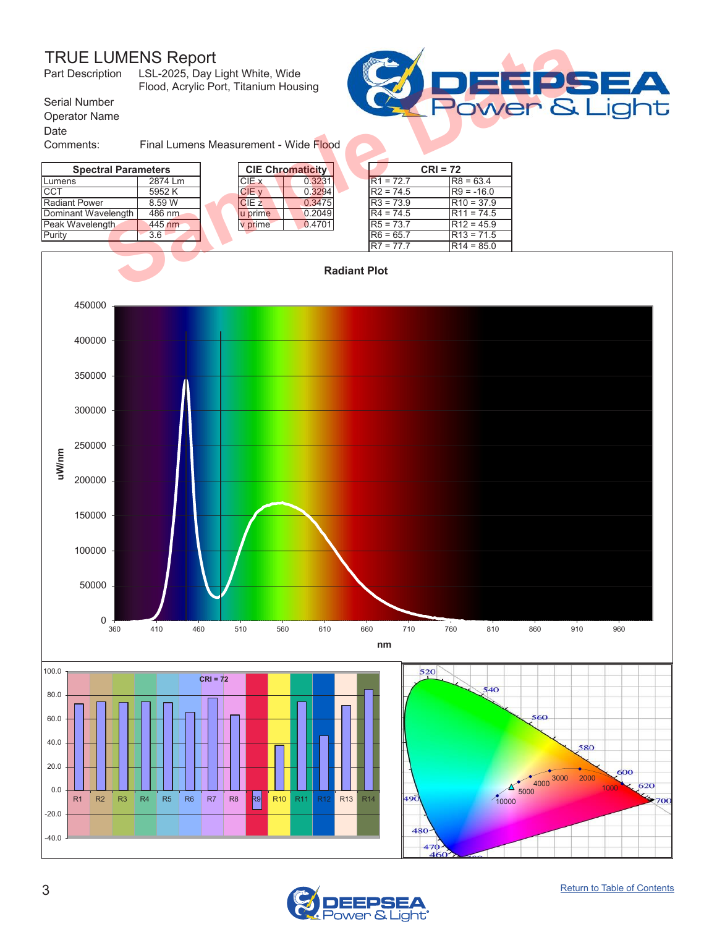#### TRUE LUMENS Report

<span id="page-2-0"></span>

| <b>TRUE LUMENS Report</b><br>Part Description LSL-2025, Day Light White, Wide | Flood, Acrylic Port, Titanium Housing |  |                  |                         |             |            |              |         |
|-------------------------------------------------------------------------------|---------------------------------------|--|------------------|-------------------------|-------------|------------|--------------|---------|
| Serial Number<br><b>Operator Name</b><br>Date                                 |                                       |  |                  |                         |             |            |              | Power & |
| Comments:                                                                     | Final Lumens Measurement - Wide Flood |  |                  |                         |             |            |              |         |
| <b>Spectral Parameters</b>                                                    |                                       |  |                  | <b>CIE Chromaticity</b> |             | $CRI = 72$ |              |         |
| Lumens                                                                        | 2874 Lm                               |  | CIE x            | 0.3231                  | $R1 = 72.7$ |            | $R8 = 63.4$  |         |
| <b>CCT</b>                                                                    | 5952K                                 |  | CIE v            | 0.3294                  | $R2 = 74.5$ |            | $R9 = -16.0$ |         |
| <b>Radiant Power</b>                                                          | 8.59 W                                |  | CIE <sub>z</sub> | 0.3475                  | $R3 = 73.9$ |            | $R10 = 37.9$ |         |
| Dominant Wavelength                                                           | 486 nm                                |  | u prime          | 0.2049                  | $R4 = 74.5$ |            | $R11 = 74.5$ |         |
| Peak Wavelength                                                               | 445 nm                                |  | v prime          | 0.4701                  | $R5 = 73.7$ |            | $R12 = 45.9$ |         |
| Purity                                                                        | 3.6                                   |  |                  |                         | $R6 = 65.7$ |            | $R13 = 71.5$ |         |
|                                                                               |                                       |  |                  |                         | $R7 = 77.7$ |            | $R14 = 85.0$ |         |
| <b>Radiant Plot</b>                                                           |                                       |  |                  |                         |             |            |              |         |



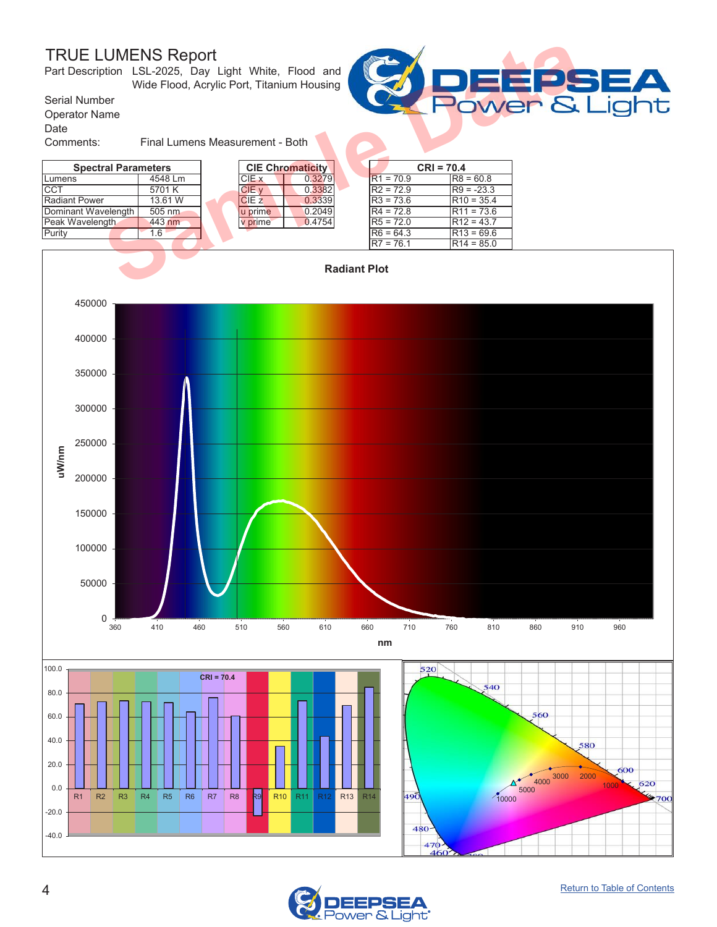### TRUE LUMENS Report

<span id="page-3-0"></span>

| <b>TRUE LUMENS Report</b><br>Part Description LSL-2025, Day Light White, Flood and | Wide Flood, Acrylic Port, Titanium Housing |  |         |                         |  |             | EPS          |              |                    |
|------------------------------------------------------------------------------------|--------------------------------------------|--|---------|-------------------------|--|-------------|--------------|--------------|--------------------|
| Serial Number<br><b>Operator Name</b><br>Date                                      |                                            |  |         |                         |  |             |              |              | <b>Power &amp;</b> |
| Comments:                                                                          | Final Lumens Measurement - Both            |  |         |                         |  |             |              |              |                    |
| <b>Spectral Parameters</b>                                                         |                                            |  |         | <b>CIE Chromaticity</b> |  |             | $CRI = 70.4$ |              |                    |
| Lumens                                                                             | 4548 Lm                                    |  | CIE x   | 0.3279                  |  | $R1 = 70.9$ |              | $R8 = 60.8$  |                    |
| <b>ICCT</b>                                                                        | 5701 K                                     |  | CIE v   | 0.3382                  |  | $R2 = 72.9$ |              | $R9 = -23.3$ |                    |
| Radiant Power                                                                      | 13.61 W                                    |  | CIEZ    | 0.3339                  |  | $R3 = 73.6$ |              | $R10 = 35.4$ |                    |
| Dominant Wavelength                                                                | 505 nm                                     |  | u prime | 0.2049                  |  | $R4 = 72.8$ |              | $R11 = 73.6$ |                    |
| Peak Wavelength                                                                    | 443 nm                                     |  | v prime | 0.4754                  |  | $R5 = 72.0$ |              | $R12 = 43.7$ |                    |
| Purity                                                                             | 1.6                                        |  |         |                         |  | $R6 = 64.3$ |              | $R13 = 69.6$ |                    |
|                                                                                    |                                            |  |         |                         |  | $R7 = 76.1$ |              | $R14 = 85.0$ |                    |
| <b>Radiant Plot</b>                                                                |                                            |  |         |                         |  |             |              |              |                    |





ight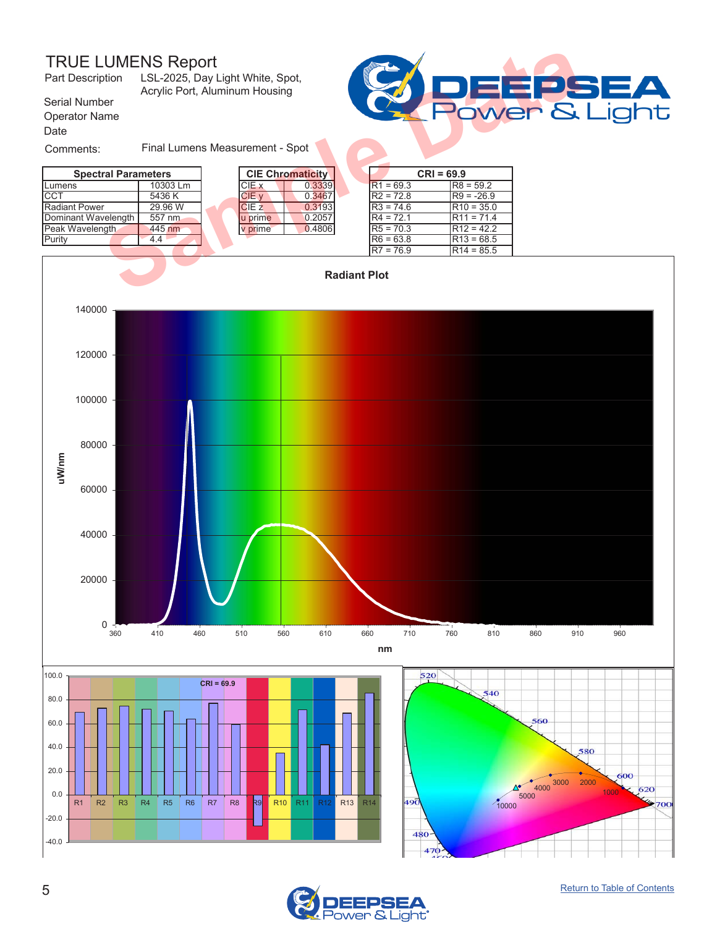### TRUE LUMENS Report<br>Part Description LSL-2025, Day L



<span id="page-4-0"></span>

| <b>TRUE LUMENS Report</b><br>Part Description | LSL-2025, Day Light White, Spot,<br>Acrylic Port, Aluminum Housing |  |              |                         |         |             |              |  |
|-----------------------------------------------|--------------------------------------------------------------------|--|--------------|-------------------------|---------|-------------|--------------|--|
| Serial Number<br><b>Operator Name</b><br>Date |                                                                    |  |              |                         | Power & |             |              |  |
| Comments:                                     | Final Lumens Measurement - Spot                                    |  |              |                         |         |             |              |  |
| <b>Spectral Parameters</b>                    |                                                                    |  |              | <b>CIE Chromaticity</b> |         |             | $CRI = 69.9$ |  |
| Lumens                                        | 10303 Lm                                                           |  | CIE x        | 0.3339                  |         | $R1 = 69.3$ | $R8 = 59.2$  |  |
| <b>CCT</b>                                    | 5436 K                                                             |  | CIE v        | 0.3467                  |         | $R2 = 72.8$ | $R9 = -26.9$ |  |
| <b>Radiant Power</b>                          | 29.96 W                                                            |  | <b>CIE z</b> | 0.3193                  |         | $R3 = 74.6$ | $R10 = 35.0$ |  |
| Dominant Wavelength                           | 557 nm                                                             |  | u prime      | 0.2057                  |         | $R4 = 72.1$ | $R11 = 71.4$ |  |
| Peak Wavelength                               | 445 nm                                                             |  | v prime      | 0.4806                  |         | $R5 = 70.3$ | $R12 = 42.2$ |  |
| Purity                                        | 4.4                                                                |  |              |                         |         | $R6 = 63.8$ | $R13 = 68.5$ |  |
|                                               |                                                                    |  |              |                         |         | $R7 = 76.9$ | $R14 = 85.5$ |  |
| <b>Radiant Plot</b>                           |                                                                    |  |              |                         |         |             |              |  |



480 470

-40.0 -20.0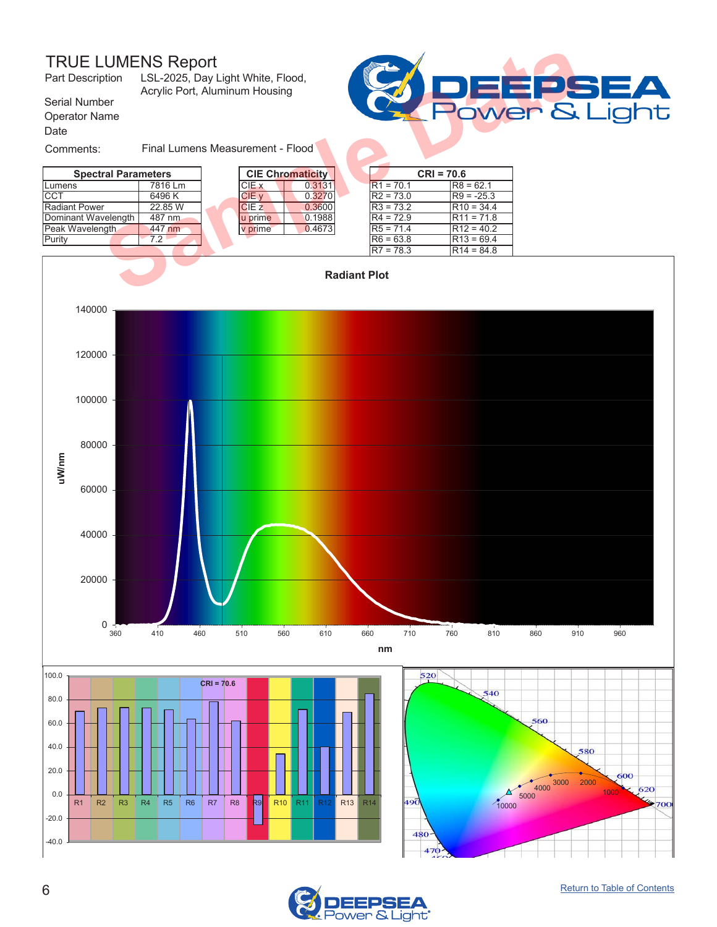### TRUE LUMENS Report<br>Part Description LSL-2025, Day I



R1 R2 R3 R4 R5 R6 R7 R8 <mark>R9 R10 R11 R12 R13</mark> R14

<span id="page-5-0"></span>

| <b>TRUE LUMENS Report</b><br>Part Description | LSL-2025, Day Light White, Flood,<br>Acrylic Port, Aluminum Housing |  |                      |                         |                     |             |              |  |
|-----------------------------------------------|---------------------------------------------------------------------|--|----------------------|-------------------------|---------------------|-------------|--------------|--|
| Serial Number<br><b>Operator Name</b><br>Date |                                                                     |  |                      |                         | Power &             |             |              |  |
| Comments:                                     | Final Lumens Measurement - Flood                                    |  |                      |                         |                     |             |              |  |
| <b>Spectral Parameters</b>                    |                                                                     |  |                      | <b>CIE Chromaticity</b> |                     |             | $CRI = 70.6$ |  |
| Lumens                                        | 7816 Lm                                                             |  | CIE x                | 0.3131                  |                     | $R1 = 70.1$ | $R8 = 62.1$  |  |
| <b>CCT</b>                                    | 6496 K                                                              |  | CIE v                | 0.3270                  |                     | $R2 = 73.0$ | $R9 = -25.3$ |  |
| <b>Radiant Power</b>                          | 22.85 W                                                             |  | CIE <sub>z</sub>     | 0.3600                  |                     | $R3 = 73.2$ | $R10 = 34.4$ |  |
| Dominant Wavelength                           | 487 nm                                                              |  | u prime              | 0.1988                  |                     | $R4 = 72.9$ | $R11 = 71.8$ |  |
| Peak Wavelength                               | 447 nm                                                              |  | v prime <sup>-</sup> | 0.4673                  |                     | $R5 = 71.4$ | $R12 = 40.2$ |  |
| Purity                                        | 7.2                                                                 |  |                      |                         |                     | $R6 = 63.8$ | $R13 = 69.4$ |  |
|                                               |                                                                     |  |                      |                         |                     | $R7 = 78.3$ | $R14 = 84.8$ |  |
|                                               |                                                                     |  |                      |                         | <b>Radiant Plot</b> |             |              |  |





49Ō

480 470 1000

600

620

 $700$ 

 $10000$ 

 $\Delta$ 

 $\frac{4000}{4000}$  3000 2000

-40.0 -20.0

0.0